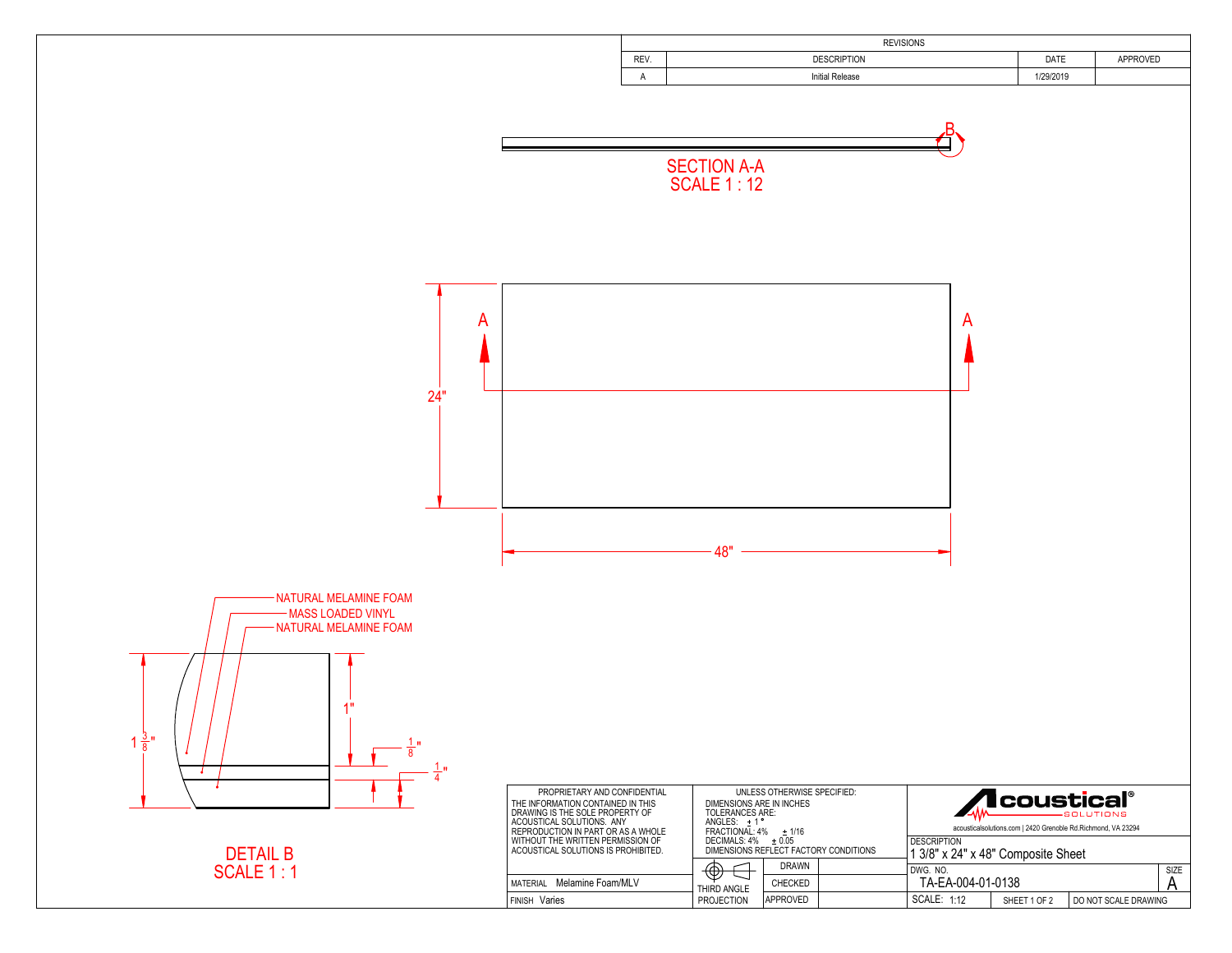